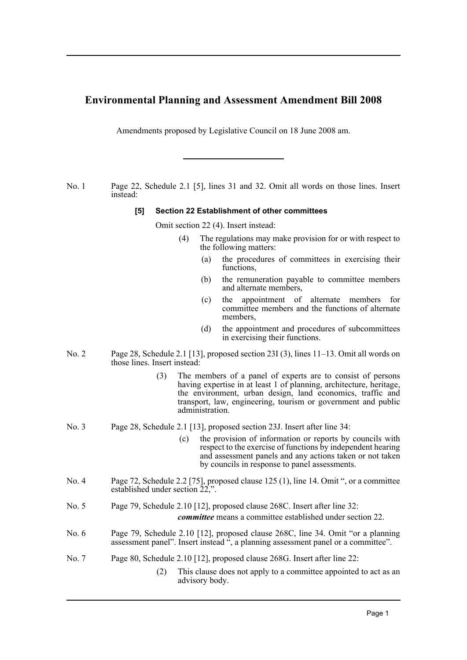# **Environmental Planning and Assessment Amendment Bill 2008**

Amendments proposed by Legislative Council on 18 June 2008 am.

No. 1 Page 22, Schedule 2.1 [5], lines 31 and 32. Omit all words on those lines. Insert instead:

## **[5] Section 22 Establishment of other committees**

Omit section 22 (4). Insert instead:

- (4) The regulations may make provision for or with respect to the following matters:
	- (a) the procedures of committees in exercising their functions,
	- (b) the remuneration payable to committee members and alternate members,
	- (c) the appointment of alternate members for committee members and the functions of alternate members,
	- (d) the appointment and procedures of subcommittees in exercising their functions.
- No. 2 Page 28, Schedule 2.1 [13], proposed section 23I (3), lines 11–13. Omit all words on those lines. Insert instead:
	- (3) The members of a panel of experts are to consist of persons having expertise in at least 1 of planning, architecture, heritage, the environment, urban design, land economics, traffic and transport, law, engineering, tourism or government and public administration.
- No. 3 Page 28, Schedule 2.1 [13], proposed section 23J. Insert after line 34:
	- (c) the provision of information or reports by councils with respect to the exercise of functions by independent hearing and assessment panels and any actions taken or not taken by councils in response to panel assessments.
- No. 4 Page 72, Schedule 2.2 [75], proposed clause 125 (1), line 14. Omit ", or a committee established under section 22,".
- No. 5 Page 79, Schedule 2.10 [12], proposed clause 268C. Insert after line 32: *committee* means a committee established under section 22.
- No. 6 Page 79, Schedule 2.10 [12], proposed clause 268C, line 34. Omit "or a planning assessment panel". Insert instead ", a planning assessment panel or a committee".
- No. 7 Page 80, Schedule 2.10 [12], proposed clause 268G. Insert after line 22:
	- (2) This clause does not apply to a committee appointed to act as an advisory body.